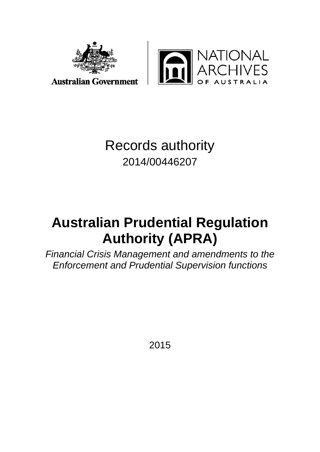

**TIONAL**<br>CHIVES

# Records authority 2014/00446207

# **Australian Prudential Regulation Authority (APRA)**

*Financial Crisis Management and amendments to the Enforcement and Prudential Supervision functions*

2015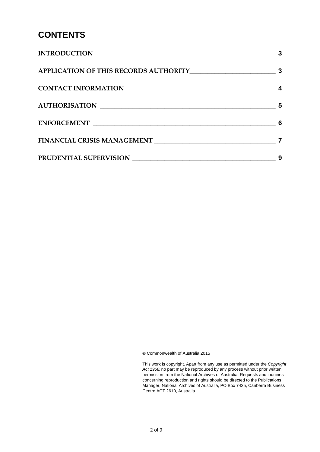# **CONTENTS**

| 5        |
|----------|
| $\sim$ 6 |
|          |
| 9        |

© Commonwealth of Australia 2015

This work is copyright. Apart from any use as permitted under the *Copyright Act 1968,* no part may be reproduced by any process without prior written permission from the National Archives of Australia. Requests and inquiries concerning reproduction and rights should be directed to the Publications Manager, National Archives of Australia, PO Box 7425, Canberra Business Centre ACT 2610, Australia.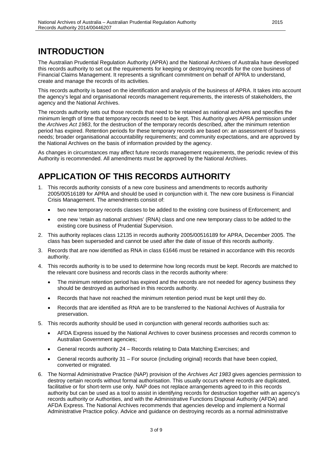## <span id="page-2-0"></span>**INTRODUCTION**

The Australian Prudential Regulation Authority (APRA) and the National Archives of Australia have developed this records authority to set out the requirements for keeping or destroying records for the core business of Financial Claims Management. It represents a significant commitment on behalf of APRA to understand, create and manage the records of its activities.

This records authority is based on the identification and analysis of the business of APRA. It takes into account the agency's legal and organisational records management requirements, the interests of stakeholders, the agency and the National Archives.

The records authority sets out those records that need to be retained as national archives and specifies the minimum length of time that temporary records need to be kept. This Authority gives APRA permission under the *Archives Act 1983*, for the destruction of the temporary records described, after the minimum retention period has expired. Retention periods for these temporary records are based on: an assessment of business needs; broader organisational accountability requirements; and community expectations, and are approved by the National Archives on the basis of information provided by the agency.

As changes in circumstances may affect future records management requirements, the periodic review of this Authority is recommended. All amendments must be approved by the National Archives.

# <span id="page-2-1"></span>**APPLICATION OF THIS RECORDS AUTHORITY**

- 1. This records authority consists of a new core business and amendments to records authority 2005/00516189 for APRA and should be used in conjunction with it. The new core business is Financial Crisis Management. The amendments consist of:
	- two new temporary records classes to be added to the existing core business of Enforcement; and
	- one new 'retain as national archives' (RNA) class and one new temporary class to be added to the existing core business of Prudential Supervision.
- 2. This authority replaces class 12135 in records authority 2005/00516189 for APRA, December 2005. The class has been superseded and cannot be used after the date of issue of this records authority.
- 3. Records that are now identified as RNA in class 61646 must be retained in accordance with this records authority.
- 4. This records authority is to be used to determine how long records must be kept. Records are matched to the relevant core business and records class in the records authority where:
	- The minimum retention period has expired and the records are not needed for agency business they should be destroyed as authorised in this records authority.
	- Records that have not reached the minimum retention period must be kept until they do.
	- Records that are identified as RNA are to be transferred to the National Archives of Australia for preservation.
- 5. This records authority should be used in conjunction with general records authorities such as:
	- AFDA Express issued by the National Archives to cover business processes and records common to Australian Government agencies;
	- General records authority 24 Records relating to Data Matching Exercises; and
	- General records authority 31 For source (including original) records that have been copied, converted or migrated.
- 6. The Normal Administrative Practice (NAP) provision of the *Archives Act 1983* gives agencies permission to destroy certain records without formal authorisation. This usually occurs where records are duplicated, facilitative or for short-term use only. NAP does not replace arrangements agreed to in this records authority but can be used as a tool to assist in identifying records for destruction together with an agency's records authority or Authorities, and with the Administrative Functions Disposal Authority (AFDA) and AFDA Express. The National Archives recommends that agencies develop and implement a Normal Administrative Practice policy. Advice and guidance on destroying records as a normal administrative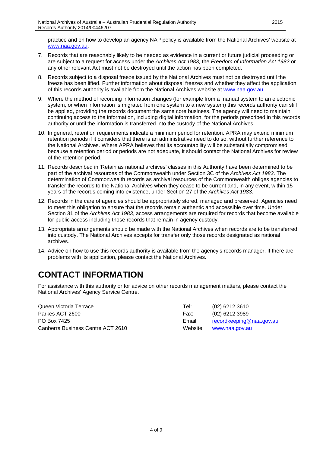practice and on how to develop an agency NAP policy is available from the National Archives' website at [www.naa.gov.au.](http://www.naa.gov.au/)

- 7. Records that are reasonably likely to be needed as evidence in a current or future judicial proceeding or are subject to a request for access under the *Archives Act 1983,* the *Freedom of Information Act 1982* or any other relevant Act must not be destroyed until the action has been completed.
- 8. Records subject to a disposal freeze issued by the National Archives must not be destroyed until the freeze has been lifted. Further information about disposal freezes and whether they affect the application of this records authority is available from the National Archives website at [www.naa.gov.au.](http://www.naa.gov.au/)
- 9. Where the method of recording information changes (for example from a manual system to an electronic system, or when information is migrated from one system to a new system) this records authority can still be applied, providing the records document the same core business. The agency will need to maintain continuing access to the information, including digital information, for the periods prescribed in this records authority or until the information is transferred into the custody of the National Archives.
- 10. In general, retention requirements indicate a minimum period for retention. APRA may extend minimum retention periods if it considers that there is an administrative need to do so, without further reference to the National Archives. Where APRA believes that its accountability will be substantially compromised because a retention period or periods are not adequate, it should contact the National Archives for review of the retention period.
- 11. Records described in 'Retain as national archives' classes in this Authority have been determined to be part of the archival resources of the Commonwealth under Section 3C of the *Archives Act 1983*. The determination of Commonwealth records as archival resources of the Commonwealth obliges agencies to transfer the records to the National Archives when they cease to be current and, in any event, within 15 years of the records coming into existence, under Section 27 of the *Archives Act 1983*.
- 12. Records in the care of agencies should be appropriately stored, managed and preserved. Agencies need to meet this obligation to ensure that the records remain authentic and accessible over time. Under Section 31 of the *Archives Act 1983*, access arrangements are required for records that become available for public access including those records that remain in agency custody.
- 13. Appropriate arrangements should be made with the National Archives when records are to be transferred into custody. The National Archives accepts for transfer only those records designated as national archives.
- 14. Advice on how to use this records authority is available from the agency's records manager. If there are problems with its application, please contact the National Archives.

# <span id="page-3-0"></span>**CONTACT INFORMATION**

For assistance with this authority or for advice on other records management matters, please contact the National Archives' Agency Service Centre.

| Queen Victoria Terrace            | Tel:     | $(02)$ 6212 3610         |
|-----------------------------------|----------|--------------------------|
| Parkes ACT 2600                   | Fax:     | (02) 6212 3989           |
| PO Box 7425                       | Email:   | recordkeeping@naa.gov.au |
| Canberra Business Centre ACT 2610 | Website: | www.naa.gov.au           |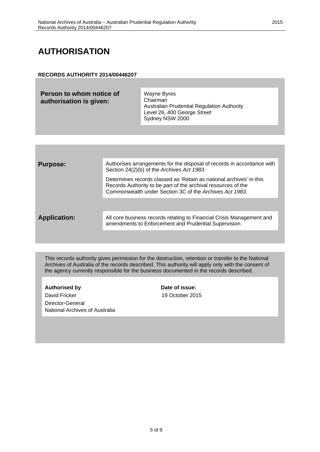# <span id="page-4-0"></span>**AUTHORISATION**

#### **RECORDS AUTHORITY 2014/00446207**

| Sydney NSW 2000 |
|-----------------|
|-----------------|

| <b>Purpose:</b>     | Authorises arrangements for the disposal of records in accordance with<br>Section 24(2)(b) of the Archives Act 1983.                                                                            |
|---------------------|-------------------------------------------------------------------------------------------------------------------------------------------------------------------------------------------------|
|                     | Determines records classed as 'Retain as national archives' in this<br>Records Authority to be part of the archival resources of the<br>Commonwealth under Section 3C of the Archives Act 1983. |
|                     |                                                                                                                                                                                                 |
| <b>Application:</b> | All core business records relating to Financial Crisis Management and<br>amendments to Enforcement and Prudential Supervision.                                                                  |
|                     |                                                                                                                                                                                                 |

This records authority gives permission for the destruction, retention or transfer to the National Archives of Australia of the records described. This authority will apply only with the consent of the agency currently responsible for the business documented in the records described.

#### Authorised by **Date of issue:**

David Fricker 19 October 2015 Director-General National Archives of Australia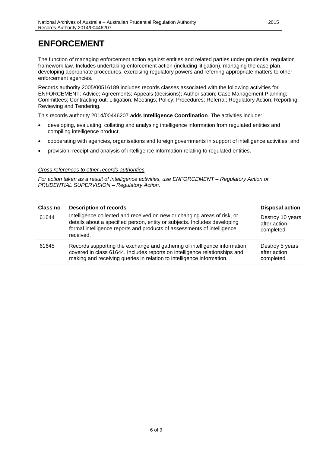### <span id="page-5-0"></span>**ENFORCEMENT**

The function of managing enforcement action against entities and related parties under prudential regulation framework law. Includes undertaking enforcement action (including litigation), managing the case plan, developing appropriate procedures, exercising regulatory powers and referring appropriate matters to other enforcement agencies.

Records authority 2005/00516189 includes records classes associated with the following activities for ENFORCEMENT: Advice; Agreements; Appeals (decisions); Authorisation; Case Management Planning; Committees; Contracting-out; Litigation; Meetings; Policy; Procedures; Referral; Regulatory Action; Reporting; Reviewing and Tendering.

This records authority 2014/00446207 adds **Intelligence Coordination**. The activities include:

- developing, evaluating, collating and analysing intelligence information from regulated entities and compiling intelligence product;
- cooperating with agencies, organisations and foreign governments in support of intelligence activities; and
- provision, receipt and analysis of intelligence information relating to regulated entities.

#### *Cross references to other records authorities*

*For action taken as a result of intelligence activities, use ENFORCEMENT – Regulatory Action or PRUDENTIAL SUPERVISION – Regulatory Action.*

| Class no | <b>Description of records</b>                                                                                                                                                                                                                 | <b>Disposal action</b>                        |
|----------|-----------------------------------------------------------------------------------------------------------------------------------------------------------------------------------------------------------------------------------------------|-----------------------------------------------|
| 61644    | Intelligence collected and received on new or changing areas of risk, or<br>details about a specified person, entity or subjects. Includes developing<br>formal intelligence reports and products of assessments of intelligence<br>received. | Destroy 10 years<br>after action<br>completed |
| 61645    | Records supporting the exchange and gathering of intelligence information<br>covered in class 61644. Includes reports on intelligence relationships and<br>making and receiving queries in relation to intelligence information.              | Destroy 5 years<br>after action<br>completed  |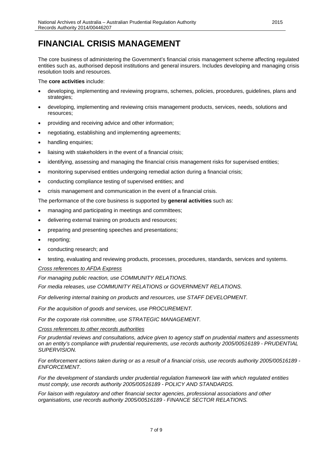### <span id="page-6-0"></span>**FINANCIAL CRISIS MANAGEMENT**

The core business of administering the Government's financial crisis management scheme affecting regulated entities such as, authorised deposit institutions and general insurers. Includes developing and managing crisis resolution tools and resources.

The **core activities** include:

- developing, implementing and reviewing programs, schemes, policies, procedures, guidelines, plans and strategies;
- developing, implementing and reviewing crisis management products, services, needs, solutions and resources;
- providing and receiving advice and other information;
- negotiating, establishing and implementing agreements;
- handling enquiries;
- liaising with stakeholders in the event of a financial crisis;
- identifying, assessing and managing the financial crisis management risks for supervised entities;
- monitoring supervised entities undergoing remedial action during a financial crisis;
- conducting compliance testing of supervised entities; and
- crisis management and communication in the event of a financial crisis.

The performance of the core business is supported by **general activities** such as:

- managing and participating in meetings and committees;
- delivering external training on products and resources;
- preparing and presenting speeches and presentations;
- reporting;
- conducting research; and
- testing, evaluating and reviewing products, processes, procedures, standards, services and systems.

#### *Cross references to AFDA Express*

*For managing public reaction, use COMMUNITY RELATIONS.*

*For media releases, use COMMUNITY RELATIONS or GOVERNMENT RELATIONS.*

*For delivering internal training on products and resources, use STAFF DEVELOPMENT.*

*For the acquisition of goods and services, use PROCUREMENT.*

*For the corporate risk committee, use STRATEGIC MANAGEMENT.*

*Cross references to other records authorities* 

*For prudential reviews and consultations, advice given to agency staff on prudential matters and assessments on an entity's compliance with prudential requirements, use records authority 2005/00516189 - PRUDENTIAL SUPERVISION.*

*For enforcement actions taken during or as a result of a financial crisis, use records authority 2005/00516189 - ENFORCEMENT.*

*For the development of standards under prudential regulation framework law with which regulated entities must comply, use records authority 2005/00516189 - POLICY AND STANDARDS.* 

*For liaison with regulatory and other financial sector agencies, professional associations and other organisations, use records authority 2005/00516189 - FINANCE SECTOR RELATIONS.*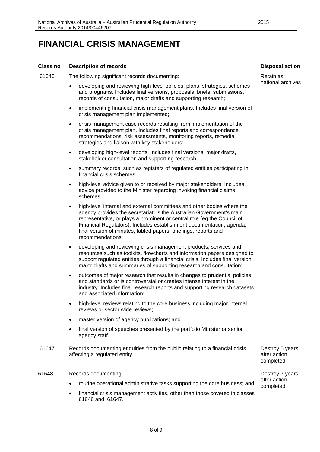### **FINANCIAL CRISIS MANAGEMENT**

| <b>Class no</b> | <b>Description of records</b>                                                                                                                                                                                                                                                                                                                                                                         | <b>Disposal action</b>                       |
|-----------------|-------------------------------------------------------------------------------------------------------------------------------------------------------------------------------------------------------------------------------------------------------------------------------------------------------------------------------------------------------------------------------------------------------|----------------------------------------------|
| 61646           | The following significant records documenting:                                                                                                                                                                                                                                                                                                                                                        | Retain as                                    |
|                 | developing and reviewing high-level policies, plans, strategies, schemes<br>$\bullet$<br>and programs. Includes final versions, proposals, briefs, submissions,<br>records of consultation, major drafts and supporting research;                                                                                                                                                                     | national archives                            |
|                 | implementing financial crisis management plans. Includes final version of<br>$\bullet$<br>crisis management plan implemented;                                                                                                                                                                                                                                                                         |                                              |
|                 | crisis management case records resulting from implementation of the<br>$\bullet$<br>crisis management plan. Includes final reports and correspondence,<br>recommendations, risk assessments, monitoring reports, remedial<br>strategies and liaison with key stakeholders;                                                                                                                            |                                              |
|                 | developing high-level reports. Includes final versions, major drafts,<br>$\bullet$<br>stakeholder consultation and supporting research;                                                                                                                                                                                                                                                               |                                              |
|                 | summary records, such as registers of regulated entities participating in<br>$\bullet$<br>financial crisis schemes;                                                                                                                                                                                                                                                                                   |                                              |
|                 | high-level advice given to or received by major stakeholders. Includes<br>$\bullet$<br>advice provided to the Minister regarding invoking financial claims<br>schemes;                                                                                                                                                                                                                                |                                              |
|                 | high-level internal and external committees and other bodies where the<br>$\bullet$<br>agency provides the secretariat, is the Australian Government's main<br>representative, or plays a prominent or central role (eg the Council of<br>Financial Regulators). Includes establishment documentation, agenda,<br>final version of minutes, tabled papers, briefings, reports and<br>recommendations; |                                              |
|                 | developing and reviewing crisis management products, services and<br>$\bullet$<br>resources such as toolkits, flowcharts and information papers designed to<br>support regulated entities through a financial crisis. Includes final version,<br>major drafts and summaries of supporting research and consultation;                                                                                  |                                              |
|                 | outcomes of major research that results in changes to prudential policies<br>$\bullet$<br>and standards or is controversial or creates intense interest in the<br>industry. Includes final research reports and supporting research datasets<br>and associated information;                                                                                                                           |                                              |
|                 | high-level reviews relating to the core business including major internal<br>$\bullet$<br>reviews or sector wide reviews:                                                                                                                                                                                                                                                                             |                                              |
|                 | master version of agency publications; and<br>٠                                                                                                                                                                                                                                                                                                                                                       |                                              |
|                 | final version of speeches presented by the portfolio Minister or senior<br>$\bullet$<br>agency staff.                                                                                                                                                                                                                                                                                                 |                                              |
| 61647           | Records documenting enquiries from the public relating to a financial crisis<br>affecting a regulated entity.                                                                                                                                                                                                                                                                                         | Destroy 5 years<br>after action<br>completed |
| 61648           | Records documenting:<br>routine operational administrative tasks supporting the core business; and<br>financial crisis management activities, other than those covered in classes<br>٠<br>61646 and 61647.                                                                                                                                                                                            | Destroy 7 years<br>after action<br>completed |